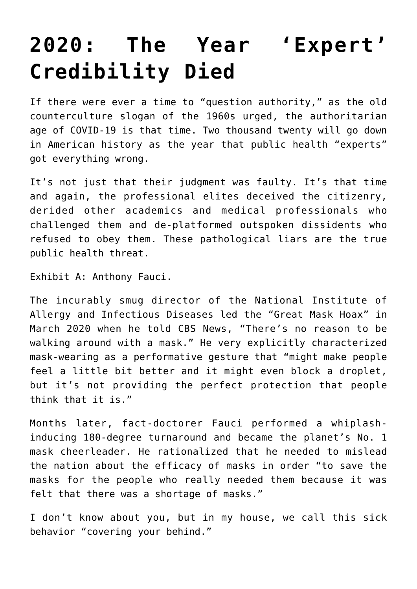## **[2020: The Year 'Expert'](https://intellectualtakeout.org/2020/12/2020-the-year-expert-credibility-died/) [Credibility Died](https://intellectualtakeout.org/2020/12/2020-the-year-expert-credibility-died/)**

If there were ever a time to "question authority," as the old counterculture slogan of the 1960s urged, the authoritarian age of COVID-19 is that time. Two thousand twenty will go down in American history as the year that public health "experts" got everything wrong.

It's not just that their judgment was faulty. It's that time and again, the professional elites deceived the citizenry, derided other academics and medical professionals who challenged them and de-platformed outspoken dissidents who refused to obey them. These pathological liars are the true public health threat.

Exhibit A: Anthony Fauci.

The incurably smug director of the National Institute of Allergy and Infectious Diseases led the "Great Mask Hoax" in March 2020 when he told CBS News, "There's no reason to be walking around with a mask." He very explicitly characterized mask-wearing as a performative gesture that "might make people feel a little bit better and it might even block a droplet, but it's not providing the perfect protection that people think that it is."

Months later, fact-doctorer Fauci performed a whiplashinducing 180-degree turnaround and became the planet's No. 1 mask cheerleader. He rationalized that he needed to mislead the nation about the efficacy of masks in order "to save the masks for the people who really needed them because it was felt that there was a shortage of masks."

I don't know about you, but in my house, we call this sick behavior "covering your behind."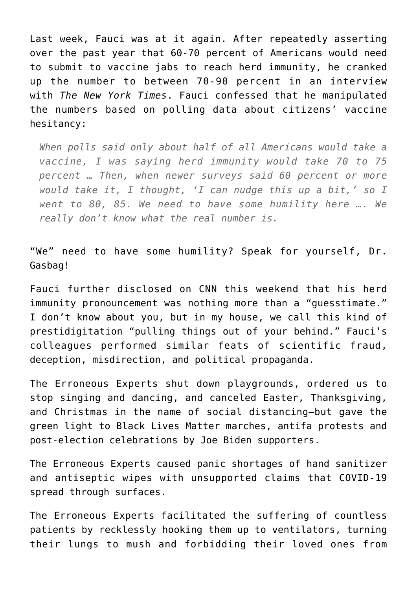Last week, Fauci was at it again. After repeatedly asserting over the past year that 60-70 percent of Americans would need to submit to vaccine jabs to reach herd immunity, he cranked up the number to between 70-90 percent in an interview with *The New York Times*. Fauci confessed that he manipulated the numbers based on polling data about citizens' vaccine hesitancy:

*When polls said only about half of all Americans would take a vaccine, I was saying herd immunity would take 70 to 75 percent … Then, when newer surveys said 60 percent or more would take it, I thought, 'I can nudge this up a bit,' so I went to 80, 85. We need to have some humility here …. We really don't know what the real number is.* 

"We" need to have some humility? Speak for yourself, Dr. Gasbag!

Fauci further disclosed on CNN this weekend that his herd immunity pronouncement was nothing more than a "guesstimate." I don't know about you, but in my house, we call this kind of prestidigitation "pulling things out of your behind." Fauci's colleagues performed similar feats of scientific fraud, deception, misdirection, and political propaganda.

The Erroneous Experts shut down playgrounds, ordered us to stop singing and dancing, and canceled Easter, Thanksgiving, and Christmas in the name of social distancing—but gave the green light to Black Lives Matter marches, antifa protests and post-election celebrations by Joe Biden supporters.

The Erroneous Experts caused panic shortages of hand sanitizer and antiseptic wipes with unsupported claims that COVID-19 spread through surfaces.

The Erroneous Experts facilitated the suffering of countless patients by recklessly hooking them up to ventilators, turning their lungs to mush and forbidding their loved ones from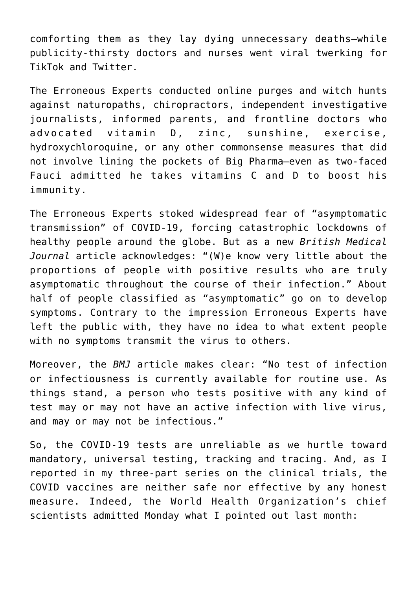comforting them as they lay dying unnecessary deaths—while publicity-thirsty doctors and nurses went viral twerking for TikTok and Twitter.

The Erroneous Experts conducted online purges and witch hunts against naturopaths, chiropractors, independent investigative journalists, informed parents, and frontline doctors who advocated vitamin D, zinc, sunshine, exercise, hydroxychloroquine, or any other commonsense measures that did not involve lining the pockets of Big Pharma—even as two-faced Fauci admitted he takes vitamins C and D to boost his immunity.

The Erroneous Experts stoked widespread fear of "asymptomatic transmission" of COVID-19, forcing catastrophic lockdowns of healthy people around the globe. But as a new *British Medical Journal* article acknowledges: "(W)e know very little about the proportions of people with positive results who are truly asymptomatic throughout the course of their infection." About half of people classified as "asymptomatic" go on to develop symptoms. Contrary to the impression Erroneous Experts have left the public with, they have no idea to what extent people with no symptoms transmit the virus to others.

Moreover, the *BMJ* article makes clear: "No test of infection or infectiousness is currently available for routine use. As things stand, a person who tests positive with any kind of test may or may not have an active infection with live virus, and may or may not be infectious."

So, the COVID-19 tests are unreliable as we hurtle toward mandatory, universal testing, tracking and tracing. And, as I reported in my three-part series on the clinical trials, the COVID vaccines are neither safe nor effective by any honest measure. Indeed, the World Health Organization's chief scientists admitted Monday what I pointed out last month: